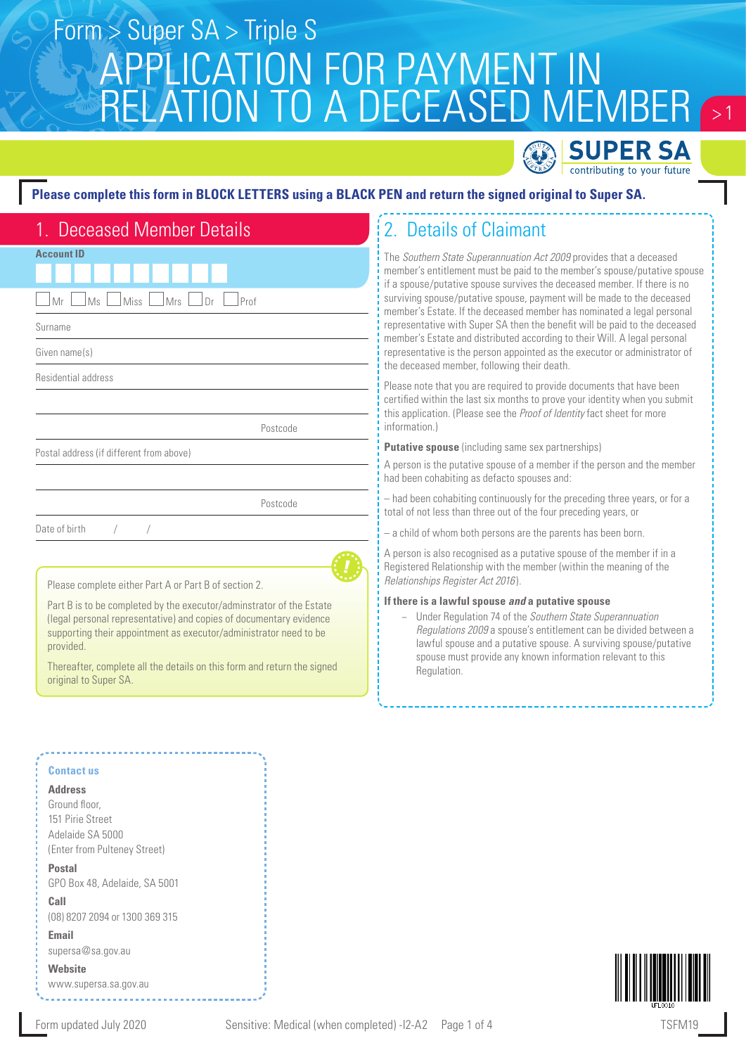# $\sim$  1 APPLICATION FOR PAYMENT IN RELATION TO A DECEASED MEMBER Form > Super SA > Triple S



### **Please complete this form in BLOCK LETTERS using a BLACK PEN and return the signed original to Super SA.**

| 1. Deceased Member Details                            |
|-------------------------------------------------------|
| <b>Account ID</b>                                     |
|                                                       |
| Mr<br>Ms<br>Miss<br>Mrs<br>Dr<br>Prof                 |
| Surname                                               |
| Given name(s)                                         |
| Residential address                                   |
|                                                       |
| Postcode                                              |
| Postal address (if different from above)              |
|                                                       |
| Postcode                                              |
| Date of birth<br>$\sqrt{2}$<br>$\sqrt{2}$             |
|                                                       |
| Please complete either Part A or Part B of section 2. |

Part B is to be completed by the executor/adminstrator of the Estate (legal personal representative) and copies of documentary evidence supporting their appointment as executor/administrator need to be provided.

Thereafter, complete all the details on this form and return the signed original to Super SA.

#### **Contact us**

#### **Address**

Ground floor, 151 Pirie Street Adelaide SA 5000 (Enter from Pulteney Street)

**Postal**  GPO Box 48, Adelaide, SA 5001 **Call** 

(08) 8207 2094 or 1300 369 315 **Email**

supersa@sa.gov.au

**Website** www.supersa.sa.gov.au





## 2. Details of Claimant

The *Southern State Superannuation Act 2009* provides that a deceased member's entitlement must be paid to the member's spouse/putative spouse if a spouse/putative spouse survives the deceased member. If there is no surviving spouse/putative spouse, payment will be made to the deceased member's Estate. If the deceased member has nominated a legal personal representative with Super SA then the benefit will be paid to the deceased member's Estate and distributed according to their Will. A legal personal representative is the person appointed as the executor or administrator of the deceased member, following their death.

Please note that you are required to provide documents that have been certified within the last six months to prove your identity when you submit this application. (Please see the *Proof of Identity* fact sheet for more information.)

**Putative spouse** (including same sex partnerships)

A person is the putative spouse of a member if the person and the member had been cohabiting as defacto spouses and:

– had been cohabiting continuously for the preceding three years, or for a total of not less than three out of the four preceding years, or

– a child of whom both persons are the parents has been born.

A person is also recognised as a putative spouse of the member if in a Registered Relationship with the member (within the meaning of the *Relationships Register Act 2016* ).

### **If there is a lawful spouse** *and* **a putative spouse**

− Under Regulation 74 of the *Southern State Superannuation Regulations 2009* a spouse's entitlement can be divided between a lawful spouse and a putative spouse. A surviving spouse/putative spouse must provide any known information relevant to this Regulation.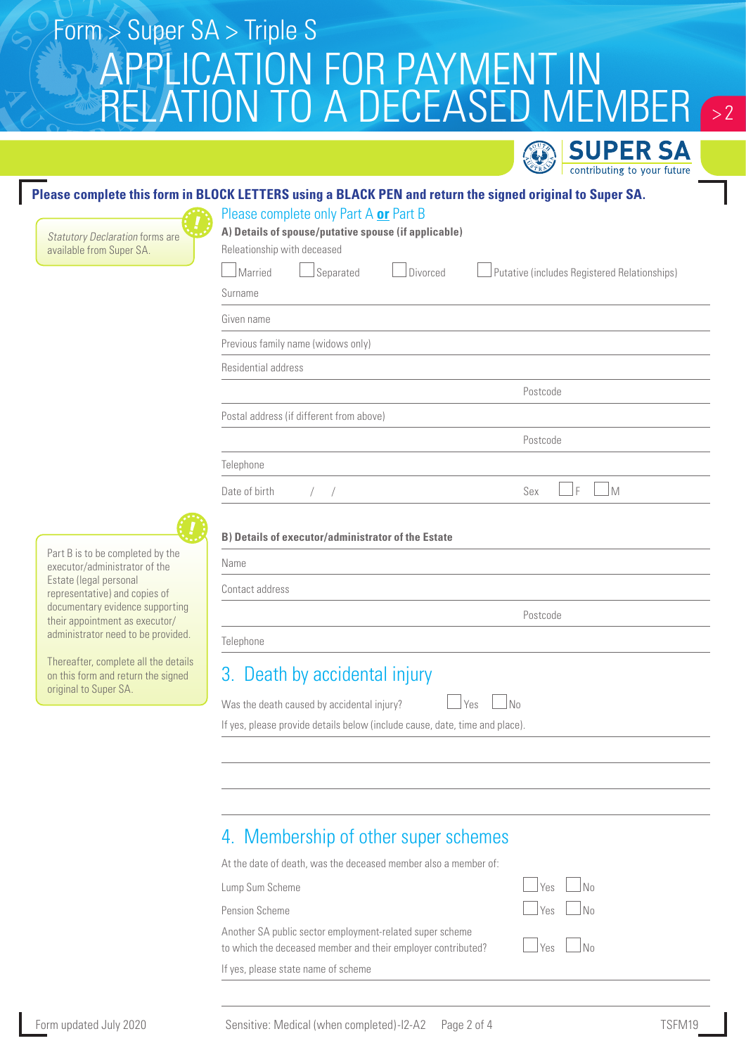# APPLICATION FOR PAYMENT IN A DECEASED MEMBER Form > Super SA > Triple S  $> 2$

**PER SA** contributing to your future

### **Please complete this form in BLOCK LETTERS using a BLACK PEN and return the signed original to Super SA.**

Please complete only Part A **or** Part B

Statutory Declaration forms are available from Super SA.

Part B is to be completed by the executor/administrator of the Estate (legal personal representative) and copies of documentary evidence supporting their appointment as executor/ administrator need to be provided.

Thereafter, complete all the details on this form and return the signed

original to Super SA.

| A) Details of spouse/putative spouse (if applicable)      |                                              |  |  |
|-----------------------------------------------------------|----------------------------------------------|--|--|
| Releationship with deceased                               |                                              |  |  |
| Married<br>Separated<br>Divorced                          | Putative (includes Registered Relationships) |  |  |
| Surname                                                   |                                              |  |  |
| Given name                                                |                                              |  |  |
| Previous family name (widows only)                        |                                              |  |  |
| Residential address                                       |                                              |  |  |
|                                                           | Postcode                                     |  |  |
| Postal address (if different from above)                  |                                              |  |  |
|                                                           | Postcode                                     |  |  |
| Telephone                                                 |                                              |  |  |
| Date of birth<br>$\left  \quad \right $                   | F<br>M<br>Sex                                |  |  |
|                                                           |                                              |  |  |
| <b>B) Details of executor/administrator of the Estate</b> |                                              |  |  |
| Name                                                      |                                              |  |  |
| Contact address                                           |                                              |  |  |
|                                                           | Postcode                                     |  |  |
| Telephone                                                 |                                              |  |  |
|                                                           |                                              |  |  |

## 3. Death by accidental injury

| ۰.<br>× |  |  |
|---------|--|--|
|---------|--|--|

If yes, please provide details below (include cause, date, time and place).

## 4. Membership of other super schemes

At the date of death, was the deceased member also a member of: Lump Sum Scheme Yes No Pension Scheme Yes No

Another SA public sector employment-related super scheme to which the deceased member and their employer contributed?  $\Box$  Yes  $\Box$  No

If yes, please state name of scheme

| Yes |  |
|-----|--|
| Yes |  |
| Yes |  |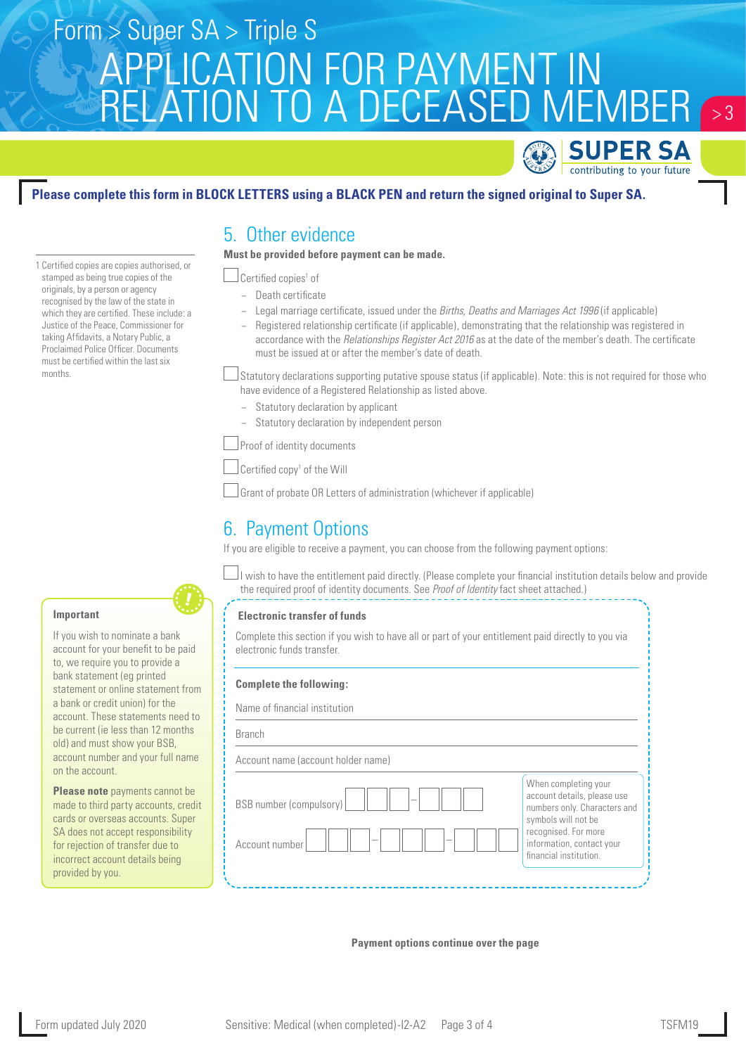# APPLICATION FOR PAYMENT IN RELATION TO A DECEASED MEMBER Form > Super SA > Triple S  $\sim$  3



### **Please complete this form in BLOCK LETTERS using a BLACK PEN and return the signed original to Super SA.**

5. Other evidence

**Must be provided before payment can be made.**

Certified copies<sup>1</sup> of

- − Death certificate
- − Legal marriage certificate, issued under the *Births, Deaths and Marriages Act 1996* (if applicable)
- − Registered relationship certificate (if applicable), demonstrating that the relationship was registered in accordance with the *Relationships Register Act 2016* as at the date of the member's death. The certificate must be issued at or after the member's date of death.

Statutory declarations supporting putative spouse status (if applicable). Note: this is not required for those who have evidence of a Registered Relationship as listed above.

- Statutory declaration by applicant
- − Statutory declaration by independent person

Proof of identity documents

Certified copy<sup>1</sup> of the Will

Grant of probate OR Letters of administration (whichever if applicable)

## 6. Payment Options

If you are eligible to receive a payment, you can choose from the following payment options:

I wish to have the entitlement paid directly. (Please complete your financial institution details below and provide the required proof of identity documents. See *Proof of Identity* fact sheet attached.)

### **Electronic transfer of funds**

Complete this section if you wish to have all or part of your entitlement paid directly to you via electronic funds transfer.

### **Complete the following:**

Name of financial institution Branch

Account name (account holder name)

| -<br>BSB number (compulsory)               | When completing your<br>account details, please use<br>numbers only. Characters and<br>symbols will not be |
|--------------------------------------------|------------------------------------------------------------------------------------------------------------|
| $\overline{\phantom{a}}$<br>Account number | recognised. For more<br>information, contact your<br>financial institution.                                |

### **Payment options continue over the page**

recognised by the law of the state in which they are certified. These include: a Justice of the Peace, Commissioner for taking Affidavits, a Notary Public, a Proclaimed Police Officer. Documents must be certified within the last six months.

1 Certified copies are copies authorised, or stamped as being true copies of the originals, by a person or agency

### **Important**

If you wish to nominate a bank account for your benefit to be paid to, we require you to provide a bank statement (eg printed statement or online statement from a bank or credit union) for the account. These statements need to be current (ie less than 12 months old) and must show your BSB, account number and your full name on the account.

**Please note** payments cannot be made to third party accounts, credit cards or overseas accounts. Super SA does not accept responsibility for rejection of transfer due to incorrect account details being provided by you.